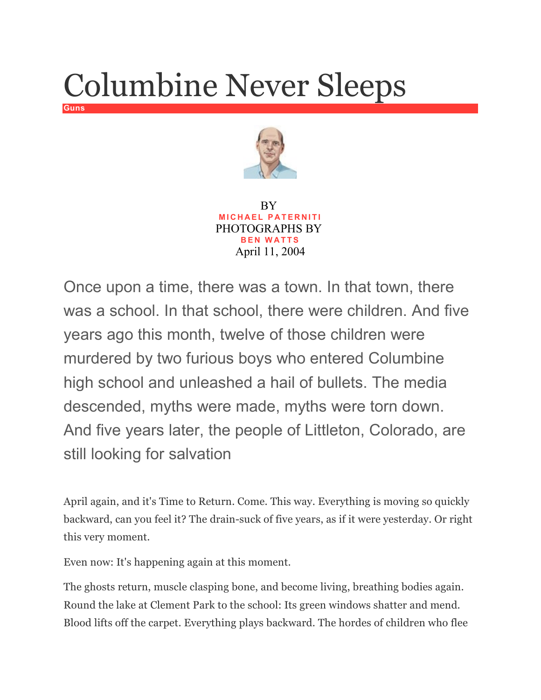## [Columbine Never Sleeps](https://www.gq.com/about/guns) **Guns**



**BY [MICHAEL PATERNITI](https://www.gq.com/contributor/michael-paterniti)** PHOTOGRAPHS BY **[BEN WATTS](https://www.gq.com/contributor/ben-watts)** April 11, 2004

Once upon a time, there was a town. In that town, there was a school. In that school, there were children. And five years ago this month, twelve of those children were murdered by two furious boys who entered Columbine high school and unleashed a hail of bullets. The media descended, myths were made, myths were torn down. And five years later, the people of Littleton, Colorado, are still looking for salvation

April again, and it's Time to Return. Come. This way. Everything is moving so quickly backward, can you feel it? The drain-suck of five years, as if it were yesterday. Or right this very moment.

Even now: It's happening again at this moment.

The ghosts return, muscle clasping bone, and become living, breathing bodies again. Round the lake at Clement Park to the school: Its green windows shatter and mend. Blood lifts off the carpet. Everything plays backward. The hordes of children who flee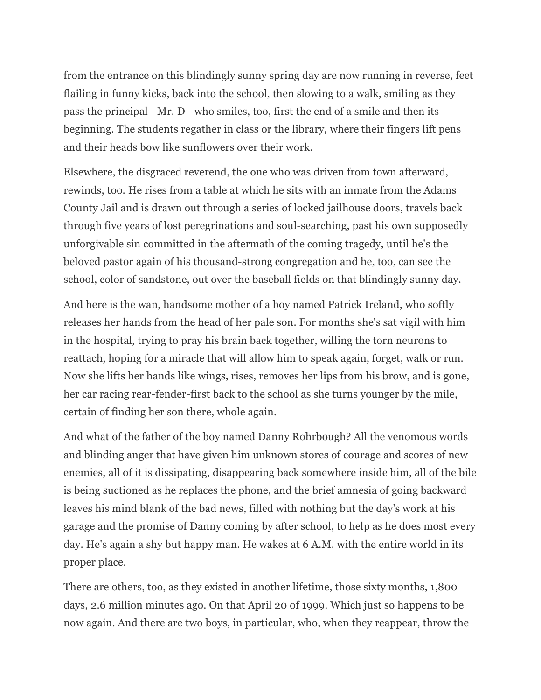from the entrance on this blindingly sunny spring day are now running in reverse, feet flailing in funny kicks, back into the school, then slowing to a walk, smiling as they pass the principal—Mr. D—who smiles, too, first the end of a smile and then its beginning. The students regather in class or the library, where their fingers lift pens and their heads bow like sunflowers over their work.

Elsewhere, the disgraced reverend, the one who was driven from town afterward, rewinds, too. He rises from a table at which he sits with an inmate from the Adams County Jail and is drawn out through a series of locked jailhouse doors, travels back through five years of lost peregrinations and soul-searching, past his own supposedly unforgivable sin committed in the aftermath of the coming tragedy, until he's the beloved pastor again of his thousand-strong congregation and he, too, can see the school, color of sandstone, out over the baseball fields on that blindingly sunny day.

And here is the wan, handsome mother of a boy named Patrick Ireland, who softly releases her hands from the head of her pale son. For months she's sat vigil with him in the hospital, trying to pray his brain back together, willing the torn neurons to reattach, hoping for a miracle that will allow him to speak again, forget, walk or run. Now she lifts her hands like wings, rises, removes her lips from his brow, and is gone, her car racing rear-fender-first back to the school as she turns younger by the mile, certain of finding her son there, whole again.

And what of the father of the boy named Danny Rohrbough? All the venomous words and blinding anger that have given him unknown stores of courage and scores of new enemies, all of it is dissipating, disappearing back somewhere inside him, all of the bile is being suctioned as he replaces the phone, and the brief amnesia of going backward leaves his mind blank of the bad news, filled with nothing but the day's work at his garage and the promise of Danny coming by after school, to help as he does most every day. He's again a shy but happy man. He wakes at 6 A.M. with the entire world in its proper place.

There are others, too, as they existed in another lifetime, those sixty months, 1,800 days, 2.6 million minutes ago. On that April 20 of 1999. Which just so happens to be now again. And there are two boys, in particular, who, when they reappear, throw the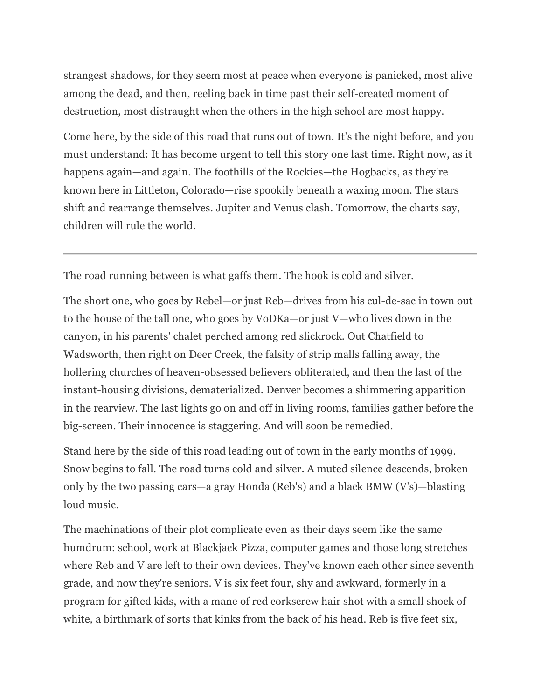strangest shadows, for they seem most at peace when everyone is panicked, most alive among the dead, and then, reeling back in time past their self-created moment of destruction, most distraught when the others in the high school are most happy.

Come here, by the side of this road that runs out of town. It's the night before, and you must understand: It has become urgent to tell this story one last time. Right now, as it happens again—and again. The foothills of the Rockies—the Hogbacks, as they're known here in Littleton, Colorado—rise spookily beneath a waxing moon. The stars shift and rearrange themselves. Jupiter and Venus clash. Tomorrow, the charts say, children will rule the world.

The road running between is what gaffs them. The hook is cold and silver.

The short one, who goes by Rebel—or just Reb—drives from his cul-de-sac in town out to the house of the tall one, who goes by VoDKa—or just V—who lives down in the canyon, in his parents' chalet perched among red slickrock. Out Chatfield to Wadsworth, then right on Deer Creek, the falsity of strip malls falling away, the hollering churches of heaven-obsessed believers obliterated, and then the last of the instant-housing divisions, dematerialized. Denver becomes a shimmering apparition in the rearview. The last lights go on and off in living rooms, families gather before the big-screen. Their innocence is staggering. And will soon be remedied.

Stand here by the side of this road leading out of town in the early months of 1999. Snow begins to fall. The road turns cold and silver. A muted silence descends, broken only by the two passing cars—a gray Honda (Reb's) and a black BMW (V's)—blasting loud music.

The machinations of their plot complicate even as their days seem like the same humdrum: school, work at Blackjack Pizza, computer games and those long stretches where Reb and V are left to their own devices. They've known each other since seventh grade, and now they're seniors. V is six feet four, shy and awkward, formerly in a program for gifted kids, with a mane of red corkscrew hair shot with a small shock of white, a birthmark of sorts that kinks from the back of his head. Reb is five feet six,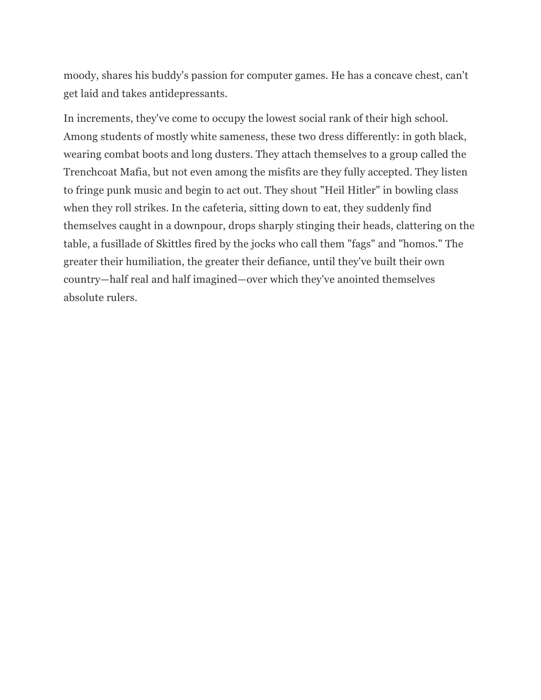moody, shares his buddy's passion for computer games. He has a concave chest, can't get laid and takes antidepressants.

In increments, they've come to occupy the lowest social rank of their high school. Among students of mostly white sameness, these two dress differently: in goth black, wearing combat boots and long dusters. They attach themselves to a group called the Trenchcoat Mafia, but not even among the misfits are they fully accepted. They listen to fringe punk music and begin to act out. They shout "Heil Hitler" in bowling class when they roll strikes. In the cafeteria, sitting down to eat, they suddenly find themselves caught in a downpour, drops sharply stinging their heads, clattering on the table, a fusillade of Skittles fired by the jocks who call them "fags" and "homos." The greater their humiliation, the greater their defiance, until they've built their own country—half real and half imagined—over which they've anointed themselves absolute rulers.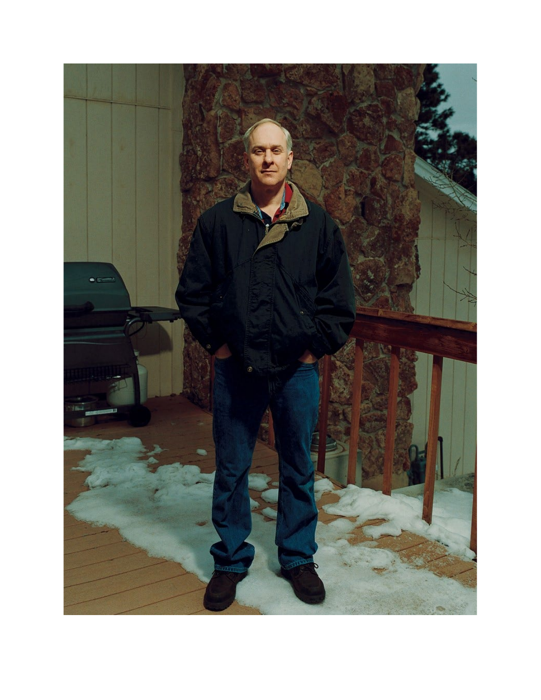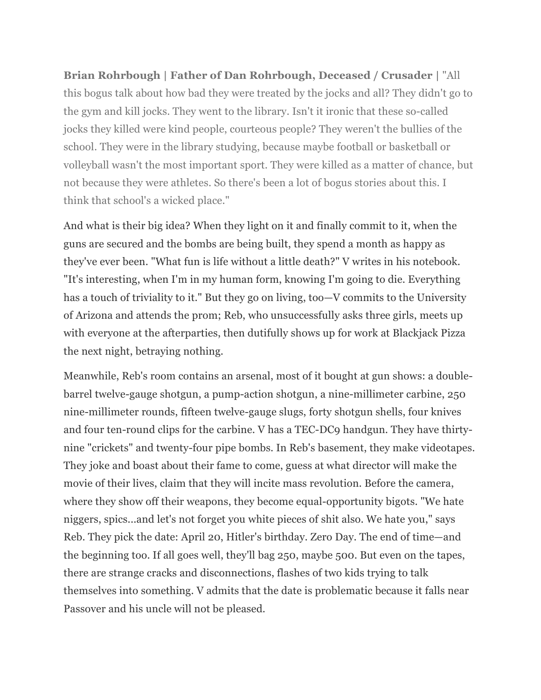**Brian Rohrbough | Father of Dan Rohrbough, Deceased / Crusader |** "All this bogus talk about how bad they were treated by the jocks and all? They didn't go to the gym and kill jocks. They went to the library. Isn't it ironic that these so-called jocks they killed were kind people, courteous people? They weren't the bullies of the school. They were in the library studying, because maybe football or basketball or volleyball wasn't the most important sport. They were killed as a matter of chance, but not because they were athletes. So there's been a lot of bogus stories about this. I think that school's a wicked place."

And what is their big idea? When they light on it and finally commit to it, when the guns are secured and the bombs are being built, they spend a month as happy as they've ever been. "What fun is life without a little death?" V writes in his notebook. "It's interesting, when I'm in my human form, knowing I'm going to die. Everything has a touch of triviality to it." But they go on living, too—V commits to the University of Arizona and attends the prom; Reb, who unsuccessfully asks three girls, meets up with everyone at the afterparties, then dutifully shows up for work at Blackjack Pizza the next night, betraying nothing.

Meanwhile, Reb's room contains an arsenal, most of it bought at gun shows: a doublebarrel twelve-gauge shotgun, a pump-action shotgun, a nine-millimeter carbine, 250 nine-millimeter rounds, fifteen twelve-gauge slugs, forty shotgun shells, four knives and four ten-round clips for the carbine. V has a TEC-DC9 handgun. They have thirtynine "crickets" and twenty-four pipe bombs. In Reb's basement, they make videotapes. They joke and boast about their fame to come, guess at what director will make the movie of their lives, claim that they will incite mass revolution. Before the camera, where they show off their weapons, they become equal-opportunity bigots. "We hate niggers, spics...and let's not forget you white pieces of shit also. We hate you," says Reb. They pick the date: April 20, Hitler's birthday. Zero Day. The end of time—and the beginning too. If all goes well, they'll bag 250, maybe 500. But even on the tapes, there are strange cracks and disconnections, flashes of two kids trying to talk themselves into something. V admits that the date is problematic because it falls near Passover and his uncle will not be pleased.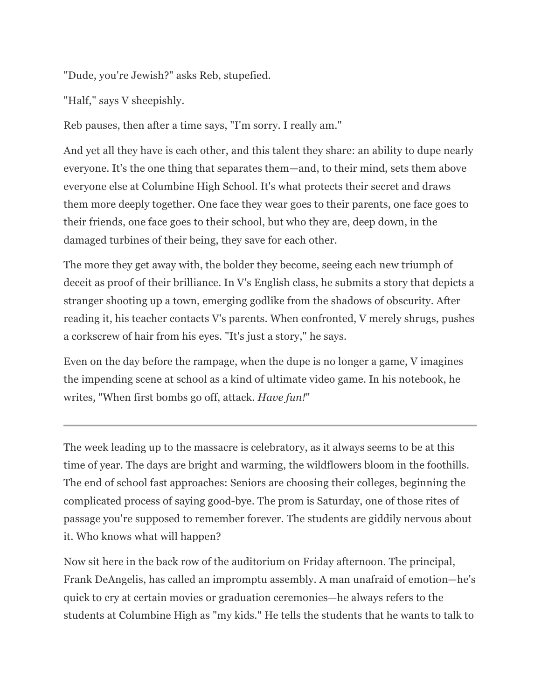"Dude, you're Jewish?" asks Reb, stupefied.

"Half," says V sheepishly.

Reb pauses, then after a time says, "I'm sorry. I really am."

And yet all they have is each other, and this talent they share: an ability to dupe nearly everyone. It's the one thing that separates them—and, to their mind, sets them above everyone else at Columbine High School. It's what protects their secret and draws them more deeply together. One face they wear goes to their parents, one face goes to their friends, one face goes to their school, but who they are, deep down, in the damaged turbines of their being, they save for each other.

The more they get away with, the bolder they become, seeing each new triumph of deceit as proof of their brilliance. In V's English class, he submits a story that depicts a stranger shooting up a town, emerging godlike from the shadows of obscurity. After reading it, his teacher contacts V's parents. When confronted, V merely shrugs, pushes a corkscrew of hair from his eyes. "It's just a story," he says.

Even on the day before the rampage, when the dupe is no longer a game, V imagines the impending scene at school as a kind of ultimate video game. In his notebook, he writes, "When first bombs go off, attack. *Have fun!*"

The week leading up to the massacre is celebratory, as it always seems to be at this time of year. The days are bright and warming, the wildflowers bloom in the foothills. The end of school fast approaches: Seniors are choosing their colleges, beginning the complicated process of saying good-bye. The prom is Saturday, one of those rites of passage you're supposed to remember forever. The students are giddily nervous about it. Who knows what will happen?

Now sit here in the back row of the auditorium on Friday afternoon. The principal, Frank DeAngelis, has called an impromptu assembly. A man unafraid of emotion—he's quick to cry at certain movies or graduation ceremonies—he always refers to the students at Columbine High as "my kids." He tells the students that he wants to talk to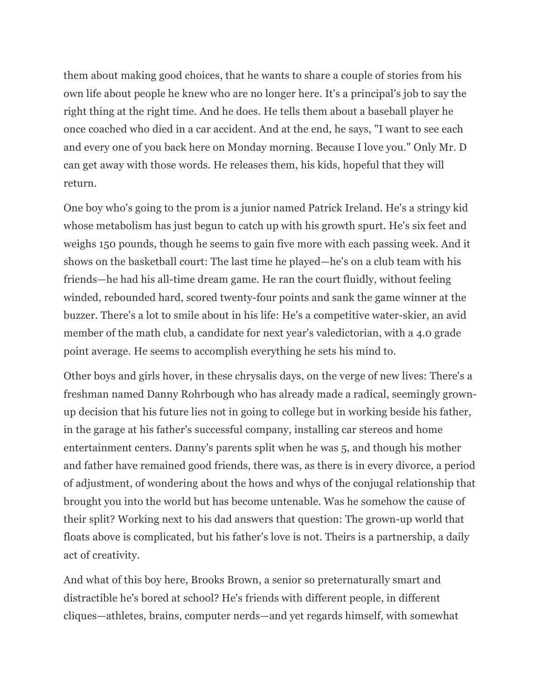them about making good choices, that he wants to share a couple of stories from his own life about people he knew who are no longer here. It's a principal's job to say the right thing at the right time. And he does. He tells them about a baseball player he once coached who died in a car accident. And at the end, he says, "I want to see each and every one of you back here on Monday morning. Because I love you." Only Mr. D can get away with those words. He releases them, his kids, hopeful that they will return.

One boy who's going to the prom is a junior named Patrick Ireland. He's a stringy kid whose metabolism has just begun to catch up with his growth spurt. He's six feet and weighs 150 pounds, though he seems to gain five more with each passing week. And it shows on the basketball court: The last time he played—he's on a club team with his friends—he had his all-time dream game. He ran the court fluidly, without feeling winded, rebounded hard, scored twenty-four points and sank the game winner at the buzzer. There's a lot to smile about in his life: He's a competitive water-skier, an avid member of the math club, a candidate for next year's valedictorian, with a 4.0 grade point average. He seems to accomplish everything he sets his mind to.

Other boys and girls hover, in these chrysalis days, on the verge of new lives: There's a freshman named Danny Rohrbough who has already made a radical, seemingly grownup decision that his future lies not in going to college but in working beside his father, in the garage at his father's successful company, installing car stereos and home entertainment centers. Danny's parents split when he was 5, and though his mother and father have remained good friends, there was, as there is in every divorce, a period of adjustment, of wondering about the hows and whys of the conjugal relationship that brought you into the world but has become untenable. Was he somehow the cause of their split? Working next to his dad answers that question: The grown-up world that floats above is complicated, but his father's love is not. Theirs is a partnership, a daily act of creativity.

And what of this boy here, Brooks Brown, a senior so preternaturally smart and distractible he's bored at school? He's friends with different people, in different cliques—athletes, brains, computer nerds—and yet regards himself, with somewhat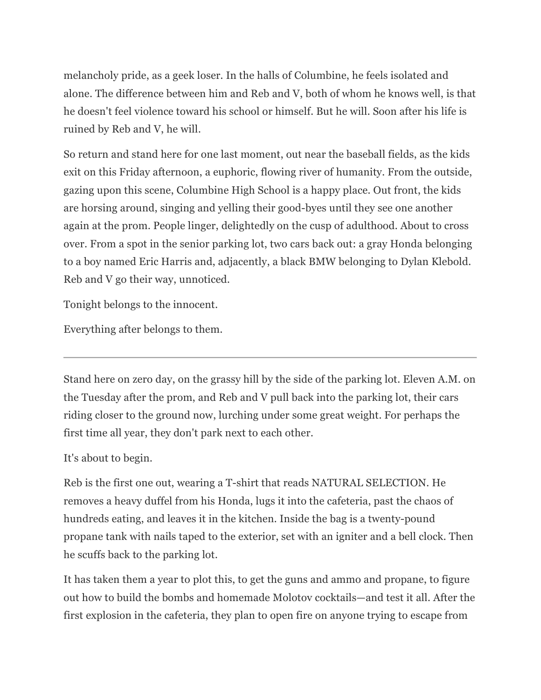melancholy pride, as a geek loser. In the halls of Columbine, he feels isolated and alone. The difference between him and Reb and V, both of whom he knows well, is that he doesn't feel violence toward his school or himself. But he will. Soon after his life is ruined by Reb and V, he will.

So return and stand here for one last moment, out near the baseball fields, as the kids exit on this Friday afternoon, a euphoric, flowing river of humanity. From the outside, gazing upon this scene, Columbine High School is a happy place. Out front, the kids are horsing around, singing and yelling their good-byes until they see one another again at the prom. People linger, delightedly on the cusp of adulthood. About to cross over. From a spot in the senior parking lot, two cars back out: a gray Honda belonging to a boy named Eric Harris and, adjacently, a black BMW belonging to Dylan Klebold. Reb and V go their way, unnoticed.

Tonight belongs to the innocent.

Everything after belongs to them.

Stand here on zero day, on the grassy hill by the side of the parking lot. Eleven A.M. on the Tuesday after the prom, and Reb and V pull back into the parking lot, their cars riding closer to the ground now, lurching under some great weight. For perhaps the first time all year, they don't park next to each other.

It's about to begin.

Reb is the first one out, wearing a T-shirt that reads NATURAL SELECTION. He removes a heavy duffel from his Honda, lugs it into the cafeteria, past the chaos of hundreds eating, and leaves it in the kitchen. Inside the bag is a twenty-pound propane tank with nails taped to the exterior, set with an igniter and a bell clock. Then he scuffs back to the parking lot.

It has taken them a year to plot this, to get the guns and ammo and propane, to figure out how to build the bombs and homemade Molotov cocktails—and test it all. After the first explosion in the cafeteria, they plan to open fire on anyone trying to escape from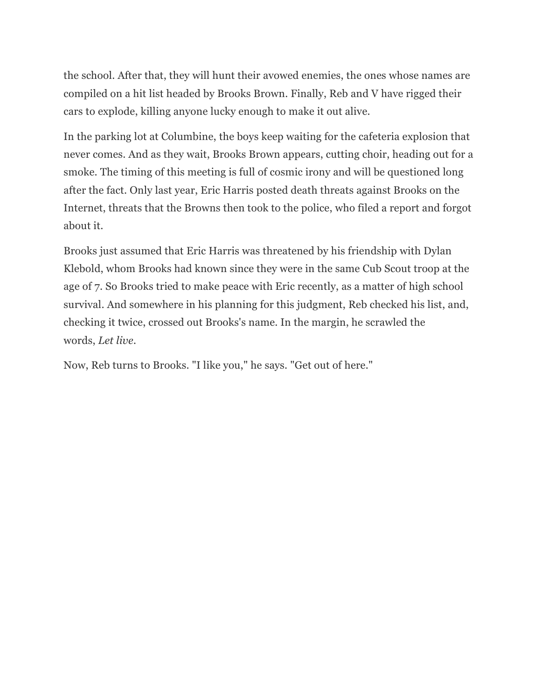the school. After that, they will hunt their avowed enemies, the ones whose names are compiled on a hit list headed by Brooks Brown. Finally, Reb and V have rigged their cars to explode, killing anyone lucky enough to make it out alive.

In the parking lot at Columbine, the boys keep waiting for the cafeteria explosion that never comes. And as they wait, Brooks Brown appears, cutting choir, heading out for a smoke. The timing of this meeting is full of cosmic irony and will be questioned long after the fact. Only last year, Eric Harris posted death threats against Brooks on the Internet, threats that the Browns then took to the police, who filed a report and forgot about it.

Brooks just assumed that Eric Harris was threatened by his friendship with Dylan Klebold, whom Brooks had known since they were in the same Cub Scout troop at the age of 7. So Brooks tried to make peace with Eric recently, as a matter of high school survival. And somewhere in his planning for this judgment, Reb checked his list, and, checking it twice, crossed out Brooks's name. In the margin, he scrawled the words, *Let live.*

Now, Reb turns to Brooks. "I like you," he says. "Get out of here."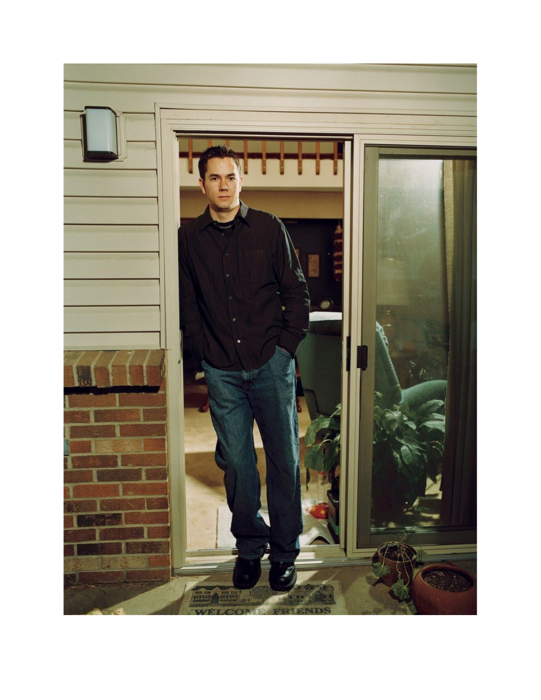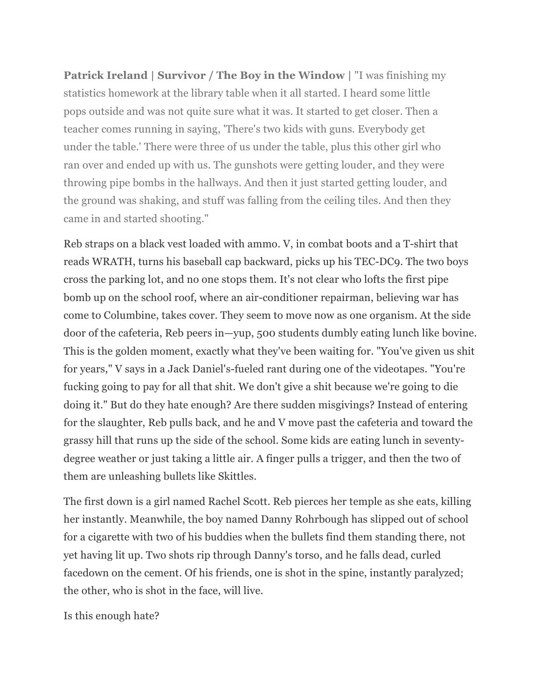**Patrick Ireland | Survivor / The Boy in the Window | "I was finishing my** statistics homework at the library table when it all started. I heard some little pops outside and was not quite sure what it was. It started to get closer. Then a teacher comes running in saying, 'There's two kids with guns. Everybody get under the table.' There were three of us under the table, plus this other girl who ran over and ended up with us. The gunshots were getting louder, and they were throwing pipe bombs in the hallways. And then it just started getting louder, and the ground was shaking, and stuff was falling from the ceiling tiles. And then they came in and started shooting."

Reb straps on a black vest loaded with ammo. V, in combat boots and a T-shirt that reads WRATH, turns his baseball cap backward, picks up his TEC-DC9. The two boys cross the parking lot, and no one stops them. It's not clear who lofts the first pipe bomb up on the school roof, where an air-conditioner repairman, believing war has come to Columbine, takes cover. They seem to move now as one organism. At the side door of the cafeteria, Reb peers in—yup, 500 students dumbly eating lunch like bovine. This is the golden moment, exactly what they've been waiting for. "You've given us shit for years," V says in a Jack Daniel's-fueled rant during one of the videotapes. "You're fucking going to pay for all that shit. We don't give a shit because we're going to die doing it." But do they hate enough? Are there sudden misgivings? Instead of entering for the slaughter, Reb pulls back, and he and V move past the cafeteria and toward the grassy hill that runs up the side of the school. Some kids are eating lunch in seventydegree weather or just taking a little air. A finger pulls a trigger, and then the two of them are unleashing bullets like Skittles.

The first down is a girl named Rachel Scott. Reb pierces her temple as she eats, killing her instantly. Meanwhile, the boy named Danny Rohrbough has slipped out of school for a cigarette with two of his buddies when the bullets find them standing there, not yet having lit up. Two shots rip through Danny's torso, and he falls dead, curled facedown on the cement. Of his friends, one is shot in the spine, instantly paralyzed; the other, who is shot in the face, will live.

Is this enough hate?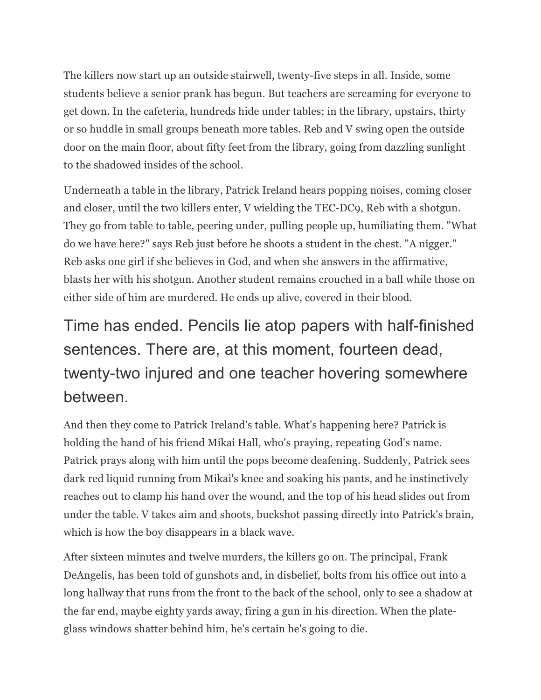The killers now start up an outside stairwell, twenty-five steps in all. Inside, some students believe a senior prank has begun. But teachers are screaming for everyone to get down. In the cafeteria, hundreds hide under tables; in the library, upstairs, thirty or so huddle in small groups beneath more tables. Reb and V swing open the outside door on the main floor, about fifty feet from the library, going from dazzling sunlight to the shadowed insides of the school.

Underneath a table in the library, Patrick Ireland hears popping noises, coming closer and closer, until the two killers enter, V wielding the TEC-DC9, Reb with a shotgun. They go from table to table, peering under, pulling people up, humiliating them. "What do we have here?" says Reb just before he shoots a student in the chest. "A nigger." Reb asks one girl if she believes in God, and when she answers in the affirmative, blasts her with his shotgun. Another student remains crouched in a ball while those on either side of him are murdered. He ends up alive, covered in their blood.

# Time has ended. Pencils lie atop papers with half-finished sentences. There are, at this moment, fourteen dead, twenty-two injured and one teacher hovering somewhere between.

And then they come to Patrick Ireland's table. What's happening here? Patrick is holding the hand of his friend Mikai Hall, who's praying, repeating God's name. Patrick prays along with him until the pops become deafening. Suddenly, Patrick sees dark red liquid running from Mikai's knee and soaking his pants, and he instinctively reaches out to clamp his hand over the wound, and the top of his head slides out from under the table. V takes aim and shoots, buckshot passing directly into Patrick's brain, which is how the boy disappears in a black wave.

After sixteen minutes and twelve murders, the killers go on. The principal, Frank DeAngelis, has been told of gunshots and, in disbelief, bolts from his office out into a long hallway that runs from the front to the back of the school, only to see a shadow at the far end, maybe eighty yards away, firing a gun in his direction. When the plateglass windows shatter behind him, he's certain he's going to die.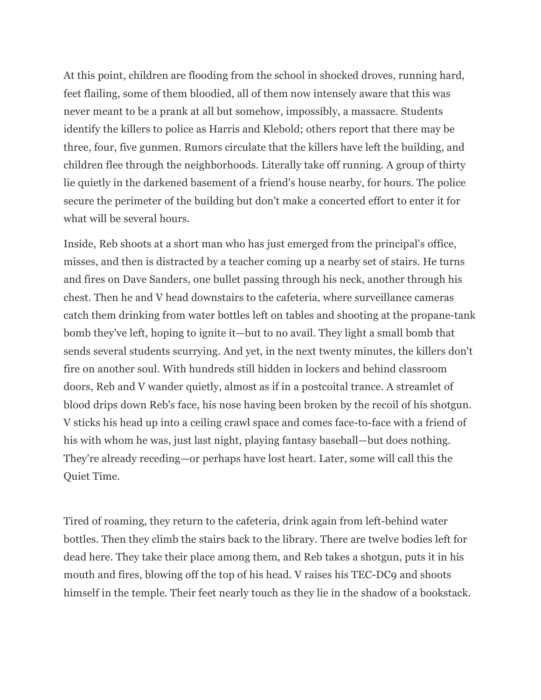At this point, children are flooding from the school in shocked droves, running hard, feet flailing, some of them bloodied, all of them now intensely aware that this was never meant to be a prank at all but somehow, impossibly, a massacre. Students identify the killers to police as Harris and Klebold; others report that there may be three, four, five gunmen. Rumors circulate that the killers have left the building, and children flee through the neighborhoods. Literally take off running. A group of thirty lie quietly in the darkened basement of a friend's house nearby, for hours. The police secure the perimeter of the building but don't make a concerted effort to enter it for what will be several hours.

Inside, Reb shoots at a short man who has just emerged from the principal's office, misses, and then is distracted by a teacher coming up a nearby set of stairs. He turns and fires on Dave Sanders, one bullet passing through his neck, another through his chest. Then he and V head downstairs to the cafeteria, where surveillance cameras catch them drinking from water bottles left on tables and shooting at the propane-tank bomb they've left, hoping to ignite it—but to no avail. They light a small bomb that sends several students scurrying. And yet, in the next twenty minutes, the killers don't fire on another soul. With hundreds still hidden in lockers and behind classroom doors, Reb and V wander quietly, almost as if in a postcoital trance. A streamlet of blood drips down Reb's face, his nose having been broken by the recoil of his shotgun. V sticks his head up into a ceiling crawl space and comes face-to-face with a friend of his with whom he was, just last night, playing fantasy baseball—but does nothing. They're already receding—or perhaps have lost heart. Later, some will call this the Quiet Time.

Tired of roaming, they return to the cafeteria, drink again from left-behind water bottles. Then they climb the stairs back to the library. There are twelve bodies left for dead here. They take their place among them, and Reb takes a shotgun, puts it in his mouth and fires, blowing off the top of his head. V raises his TEC-DC9 and shoots himself in the temple. Their feet nearly touch as they lie in the shadow of a bookstack.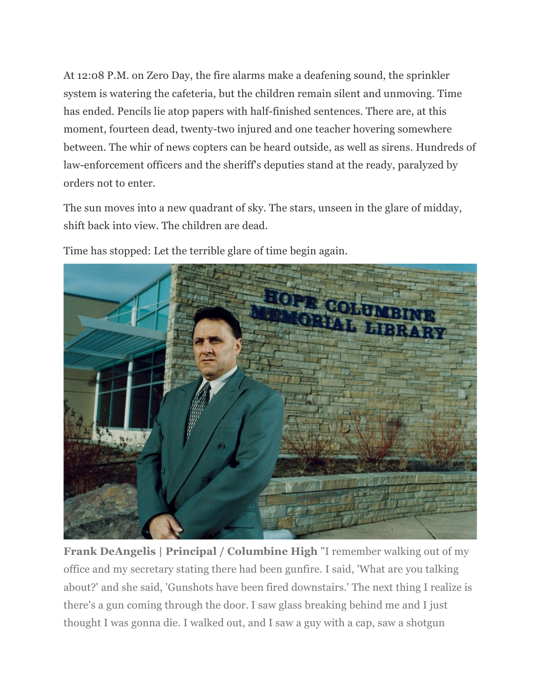At 12:08 P.M. on Zero Day, the fire alarms make a deafening sound, the sprinkler system is watering the cafeteria, but the children remain silent and unmoving. Time has ended. Pencils lie atop papers with half-finished sentences. There are, at this moment, fourteen dead, twenty-two injured and one teacher hovering somewhere between. The whir of news copters can be heard outside, as well as sirens. Hundreds of law-enforcement officers and the sheriff's deputies stand at the ready, paralyzed by orders not to enter.

The sun moves into a new quadrant of sky. The stars, unseen in the glare of midday, shift back into view. The children are dead.



Time has stopped: Let the terrible glare of time begin again.

**Frank DeAngelis | Principal / Columbine High** "I remember walking out of my office and my secretary stating there had been gunfire. I said, 'What are you talking about?' and she said, 'Gunshots have been fired downstairs.' The next thing I realize is there's a gun coming through the door. I saw glass breaking behind me and I just thought I was gonna die. I walked out, and I saw a guy with a cap, saw a shotgun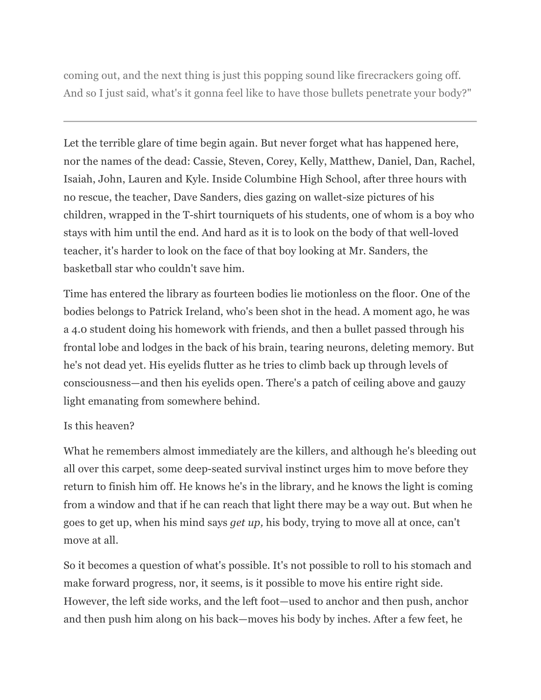coming out, and the next thing is just this popping sound like firecrackers going off. And so I just said, what's it gonna feel like to have those bullets penetrate your body?"

Let the terrible glare of time begin again. But never forget what has happened here, nor the names of the dead: Cassie, Steven, Corey, Kelly, Matthew, Daniel, Dan, Rachel, Isaiah, John, Lauren and Kyle. Inside Columbine High School, after three hours with no rescue, the teacher, Dave Sanders, dies gazing on wallet-size pictures of his children, wrapped in the T-shirt tourniquets of his students, one of whom is a boy who stays with him until the end. And hard as it is to look on the body of that well-loved teacher, it's harder to look on the face of that boy looking at Mr. Sanders, the basketball star who couldn't save him.

Time has entered the library as fourteen bodies lie motionless on the floor. One of the bodies belongs to Patrick Ireland, who's been shot in the head. A moment ago, he was a 4.0 student doing his homework with friends, and then a bullet passed through his frontal lobe and lodges in the back of his brain, tearing neurons, deleting memory. But he's not dead yet. His eyelids flutter as he tries to climb back up through levels of consciousness—and then his eyelids open. There's a patch of ceiling above and gauzy light emanating from somewhere behind.

### Is this heaven?

What he remembers almost immediately are the killers, and although he's bleeding out all over this carpet, some deep-seated survival instinct urges him to move before they return to finish him off. He knows he's in the library, and he knows the light is coming from a window and that if he can reach that light there may be a way out. But when he goes to get up, when his mind says *get up,* his body, trying to move all at once, can't move at all.

So it becomes a question of what's possible. It's not possible to roll to his stomach and make forward progress, nor, it seems, is it possible to move his entire right side. However, the left side works, and the left foot—used to anchor and then push, anchor and then push him along on his back—moves his body by inches. After a few feet, he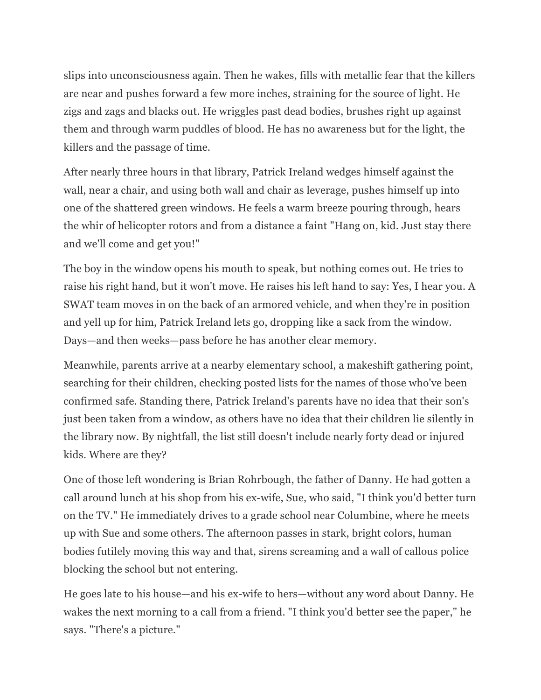slips into unconsciousness again. Then he wakes, fills with metallic fear that the killers are near and pushes forward a few more inches, straining for the source of light. He zigs and zags and blacks out. He wriggles past dead bodies, brushes right up against them and through warm puddles of blood. He has no awareness but for the light, the killers and the passage of time.

After nearly three hours in that library, Patrick Ireland wedges himself against the wall, near a chair, and using both wall and chair as leverage, pushes himself up into one of the shattered green windows. He feels a warm breeze pouring through, hears the whir of helicopter rotors and from a distance a faint "Hang on, kid. Just stay there and we'll come and get you!"

The boy in the window opens his mouth to speak, but nothing comes out. He tries to raise his right hand, but it won't move. He raises his left hand to say: Yes, I hear you. A SWAT team moves in on the back of an armored vehicle, and when they're in position and yell up for him, Patrick Ireland lets go, dropping like a sack from the window. Days—and then weeks—pass before he has another clear memory.

Meanwhile, parents arrive at a nearby elementary school, a makeshift gathering point, searching for their children, checking posted lists for the names of those who've been confirmed safe. Standing there, Patrick Ireland's parents have no idea that their son's just been taken from a window, as others have no idea that their children lie silently in the library now. By nightfall, the list still doesn't include nearly forty dead or injured kids. Where are they?

One of those left wondering is Brian Rohrbough, the father of Danny. He had gotten a call around lunch at his shop from his ex-wife, Sue, who said, "I think you'd better turn on the TV." He immediately drives to a grade school near Columbine, where he meets up with Sue and some others. The afternoon passes in stark, bright colors, human bodies futilely moving this way and that, sirens screaming and a wall of callous police blocking the school but not entering.

He goes late to his house—and his ex-wife to hers—without any word about Danny. He wakes the next morning to a call from a friend. "I think you'd better see the paper," he says. "There's a picture."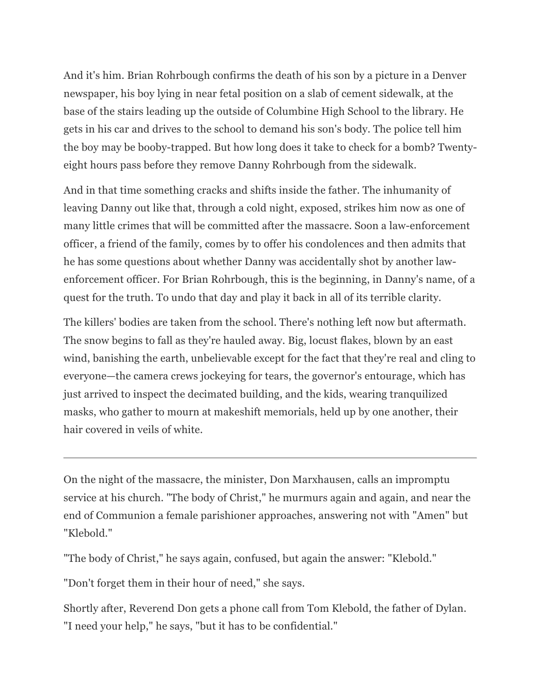And it's him. Brian Rohrbough confirms the death of his son by a picture in a Denver newspaper, his boy lying in near fetal position on a slab of cement sidewalk, at the base of the stairs leading up the outside of Columbine High School to the library. He gets in his car and drives to the school to demand his son's body. The police tell him the boy may be booby-trapped. But how long does it take to check for a bomb? Twentyeight hours pass before they remove Danny Rohrbough from the sidewalk.

And in that time something cracks and shifts inside the father. The inhumanity of leaving Danny out like that, through a cold night, exposed, strikes him now as one of many little crimes that will be committed after the massacre. Soon a law-enforcement officer, a friend of the family, comes by to offer his condolences and then admits that he has some questions about whether Danny was accidentally shot by another lawenforcement officer. For Brian Rohrbough, this is the beginning, in Danny's name, of a quest for the truth. To undo that day and play it back in all of its terrible clarity.

The killers' bodies are taken from the school. There's nothing left now but aftermath. The snow begins to fall as they're hauled away. Big, locust flakes, blown by an east wind, banishing the earth, unbelievable except for the fact that they're real and cling to everyone—the camera crews jockeying for tears, the governor's entourage, which has just arrived to inspect the decimated building, and the kids, wearing tranquilized masks, who gather to mourn at makeshift memorials, held up by one another, their hair covered in veils of white.

On the night of the massacre, the minister, Don Marxhausen, calls an impromptu service at his church. "The body of Christ," he murmurs again and again, and near the end of Communion a female parishioner approaches, answering not with "Amen" but "Klebold."

"The body of Christ," he says again, confused, but again the answer: "Klebold."

"Don't forget them in their hour of need," she says.

Shortly after, Reverend Don gets a phone call from Tom Klebold, the father of Dylan. "I need your help," he says, "but it has to be confidential."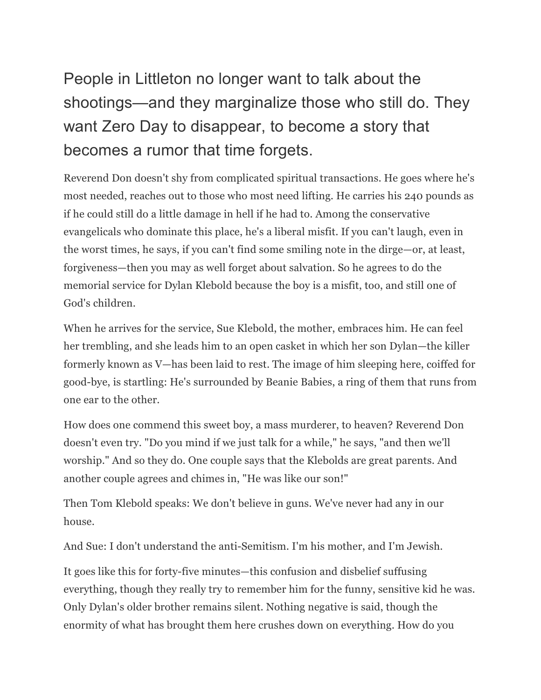# People in Littleton no longer want to talk about the shootings—and they marginalize those who still do. They want Zero Day to disappear, to become a story that becomes a rumor that time forgets.

Reverend Don doesn't shy from complicated spiritual transactions. He goes where he's most needed, reaches out to those who most need lifting. He carries his 240 pounds as if he could still do a little damage in hell if he had to. Among the conservative evangelicals who dominate this place, he's a liberal misfit. If you can't laugh, even in the worst times, he says, if you can't find some smiling note in the dirge—or, at least, forgiveness—then you may as well forget about salvation. So he agrees to do the memorial service for Dylan Klebold because the boy is a misfit, too, and still one of God's children.

When he arrives for the service, Sue Klebold, the mother, embraces him. He can feel her trembling, and she leads him to an open casket in which her son Dylan—the killer formerly known as V—has been laid to rest. The image of him sleeping here, coiffed for good-bye, is startling: He's surrounded by Beanie Babies, a ring of them that runs from one ear to the other.

How does one commend this sweet boy, a mass murderer, to heaven? Reverend Don doesn't even try. "Do you mind if we just talk for a while," he says, "and then we'll worship." And so they do. One couple says that the Klebolds are great parents. And another couple agrees and chimes in, "He was like our son!"

Then Tom Klebold speaks: We don't believe in guns. We've never had any in our house.

And Sue: I don't understand the anti-Semitism. I'm his mother, and I'm Jewish.

It goes like this for forty-five minutes—this confusion and disbelief suffusing everything, though they really try to remember him for the funny, sensitive kid he was. Only Dylan's older brother remains silent. Nothing negative is said, though the enormity of what has brought them here crushes down on everything. How do you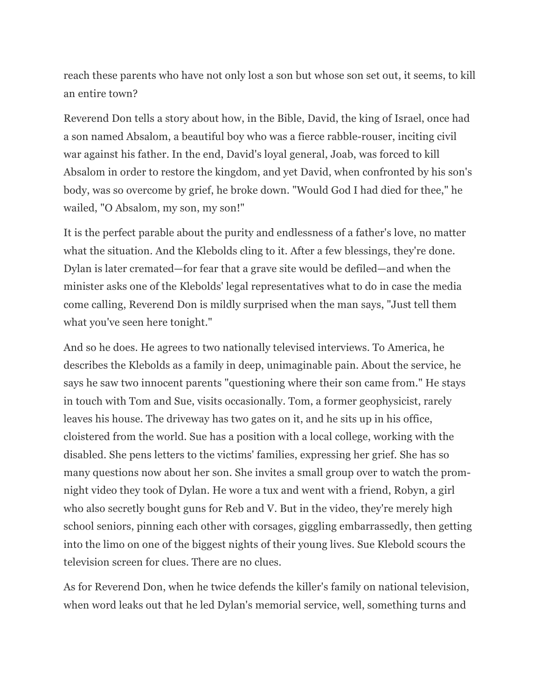reach these parents who have not only lost a son but whose son set out, it seems, to kill an entire town?

Reverend Don tells a story about how, in the Bible, David, the king of Israel, once had a son named Absalom, a beautiful boy who was a fierce rabble-rouser, inciting civil war against his father. In the end, David's loyal general, Joab, was forced to kill Absalom in order to restore the kingdom, and yet David, when confronted by his son's body, was so overcome by grief, he broke down. "Would God I had died for thee," he wailed, "O Absalom, my son, my son!"

It is the perfect parable about the purity and endlessness of a father's love, no matter what the situation. And the Klebolds cling to it. After a few blessings, they're done. Dylan is later cremated—for fear that a grave site would be defiled—and when the minister asks one of the Klebolds' legal representatives what to do in case the media come calling, Reverend Don is mildly surprised when the man says, "Just tell them what you've seen here tonight."

And so he does. He agrees to two nationally televised interviews. To America, he describes the Klebolds as a family in deep, unimaginable pain. About the service, he says he saw two innocent parents "questioning where their son came from." He stays in touch with Tom and Sue, visits occasionally. Tom, a former geophysicist, rarely leaves his house. The driveway has two gates on it, and he sits up in his office, cloistered from the world. Sue has a position with a local college, working with the disabled. She pens letters to the victims' families, expressing her grief. She has so many questions now about her son. She invites a small group over to watch the promnight video they took of Dylan. He wore a tux and went with a friend, Robyn, a girl who also secretly bought guns for Reb and V. But in the video, they're merely high school seniors, pinning each other with corsages, giggling embarrassedly, then getting into the limo on one of the biggest nights of their young lives. Sue Klebold scours the television screen for clues. There are no clues.

As for Reverend Don, when he twice defends the killer's family on national television, when word leaks out that he led Dylan's memorial service, well, something turns and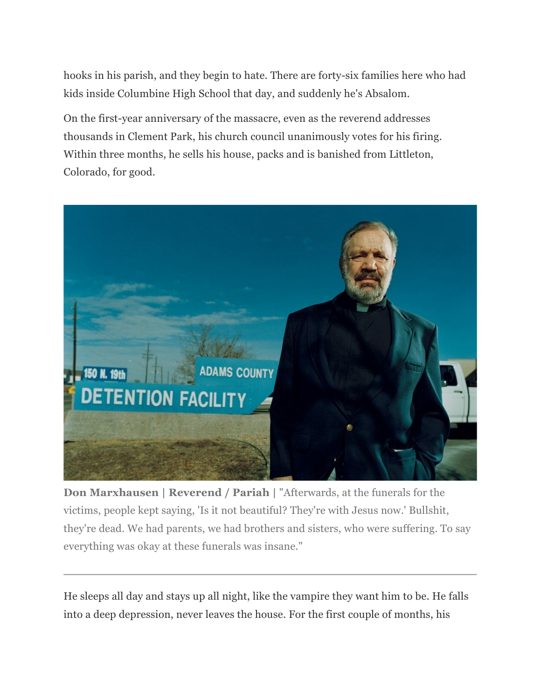hooks in his parish, and they begin to hate. There are forty-six families here who had kids inside Columbine High School that day, and suddenly he's Absalom.

On the first-year anniversary of the massacre, even as the reverend addresses thousands in Clement Park, his church council unanimously votes for his firing. Within three months, he sells his house, packs and is banished from Littleton, Colorado, for good.



**Don Marxhausen | Reverend / Pariah |** "Afterwards, at the funerals for the victims, people kept saying, 'Is it not beautiful? They're with Jesus now.' Bullshit, they're dead. We had parents, we had brothers and sisters, who were suffering. To say everything was okay at these funerals was insane."

He sleeps all day and stays up all night, like the vampire they want him to be. He falls into a deep depression, never leaves the house. For the first couple of months, his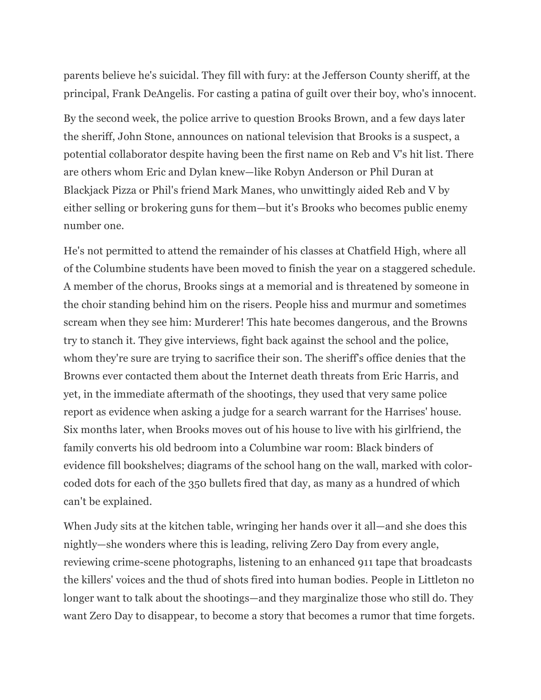parents believe he's suicidal. They fill with fury: at the Jefferson County sheriff, at the principal, Frank DeAngelis. For casting a patina of guilt over their boy, who's innocent.

By the second week, the police arrive to question Brooks Brown, and a few days later the sheriff, John Stone, announces on national television that Brooks is a suspect, a potential collaborator despite having been the first name on Reb and V's hit list. There are others whom Eric and Dylan knew—like Robyn Anderson or Phil Duran at Blackjack Pizza or Phil's friend Mark Manes, who unwittingly aided Reb and V by either selling or brokering guns for them—but it's Brooks who becomes public enemy number one.

He's not permitted to attend the remainder of his classes at Chatfield High, where all of the Columbine students have been moved to finish the year on a staggered schedule. A member of the chorus, Brooks sings at a memorial and is threatened by someone in the choir standing behind him on the risers. People hiss and murmur and sometimes scream when they see him: Murderer! This hate becomes dangerous, and the Browns try to stanch it. They give interviews, fight back against the school and the police, whom they're sure are trying to sacrifice their son. The sheriff's office denies that the Browns ever contacted them about the Internet death threats from Eric Harris, and yet, in the immediate aftermath of the shootings, they used that very same police report as evidence when asking a judge for a search warrant for the Harrises' house. Six months later, when Brooks moves out of his house to live with his girlfriend, the family converts his old bedroom into a Columbine war room: Black binders of evidence fill bookshelves; diagrams of the school hang on the wall, marked with colorcoded dots for each of the 350 bullets fired that day, as many as a hundred of which can't be explained.

When Judy sits at the kitchen table, wringing her hands over it all—and she does this nightly—she wonders where this is leading, reliving Zero Day from every angle, reviewing crime-scene photographs, listening to an enhanced 911 tape that broadcasts the killers' voices and the thud of shots fired into human bodies. People in Littleton no longer want to talk about the shootings—and they marginalize those who still do. They want Zero Day to disappear, to become a story that becomes a rumor that time forgets.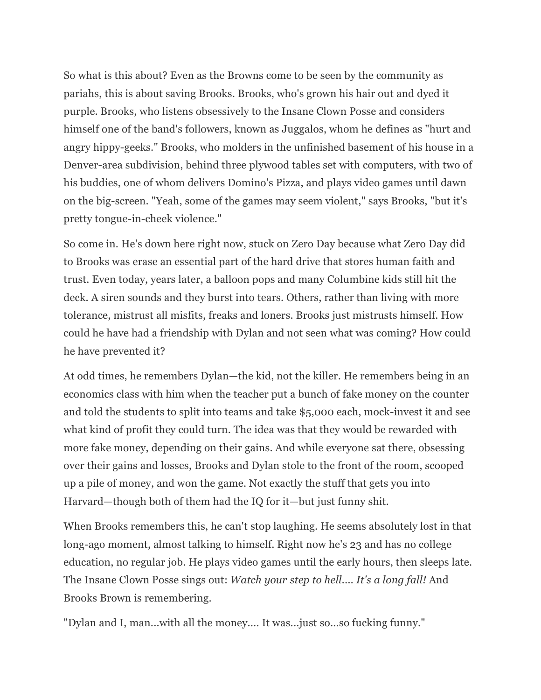So what is this about? Even as the Browns come to be seen by the community as pariahs, this is about saving Brooks. Brooks, who's grown his hair out and dyed it purple. Brooks, who listens obsessively to the Insane Clown Posse and considers himself one of the band's followers, known as Juggalos, whom he defines as "hurt and angry hippy-geeks." Brooks, who molders in the unfinished basement of his house in a Denver-area subdivision, behind three plywood tables set with computers, with two of his buddies, one of whom delivers Domino's Pizza, and plays video games until dawn on the big-screen. "Yeah, some of the games may seem violent," says Brooks, "but it's pretty tongue-in-cheek violence."

So come in. He's down here right now, stuck on Zero Day because what Zero Day did to Brooks was erase an essential part of the hard drive that stores human faith and trust. Even today, years later, a balloon pops and many Columbine kids still hit the deck. A siren sounds and they burst into tears. Others, rather than living with more tolerance, mistrust all misfits, freaks and loners. Brooks just mistrusts himself. How could he have had a friendship with Dylan and not seen what was coming? How could he have prevented it?

At odd times, he remembers Dylan—the kid, not the killer. He remembers being in an economics class with him when the teacher put a bunch of fake money on the counter and told the students to split into teams and take \$5,000 each, mock-invest it and see what kind of profit they could turn. The idea was that they would be rewarded with more fake money, depending on their gains. And while everyone sat there, obsessing over their gains and losses, Brooks and Dylan stole to the front of the room, scooped up a pile of money, and won the game. Not exactly the stuff that gets you into Harvard—though both of them had the IQ for it—but just funny shit.

When Brooks remembers this, he can't stop laughing. He seems absolutely lost in that long-ago moment, almost talking to himself. Right now he's 23 and has no college education, no regular job. He plays video games until the early hours, then sleeps late. The Insane Clown Posse sings out: *Watch your step to hell.... It's a long fall!* And Brooks Brown is remembering.

"Dylan and I, man...with all the money.... It was...just so...so fucking funny."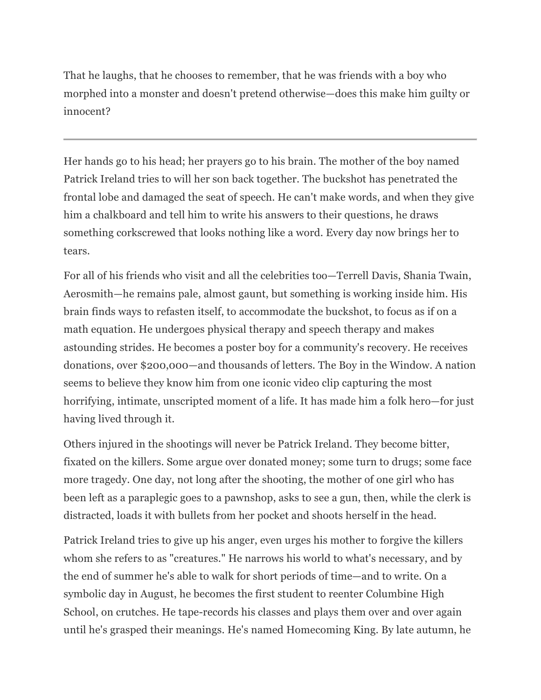That he laughs, that he chooses to remember, that he was friends with a boy who morphed into a monster and doesn't pretend otherwise—does this make him guilty or innocent?

Her hands go to his head; her prayers go to his brain. The mother of the boy named Patrick Ireland tries to will her son back together. The buckshot has penetrated the frontal lobe and damaged the seat of speech. He can't make words, and when they give him a chalkboard and tell him to write his answers to their questions, he draws something corkscrewed that looks nothing like a word. Every day now brings her to tears.

For all of his friends who visit and all the celebrities too—Terrell Davis, Shania Twain, Aerosmith—he remains pale, almost gaunt, but something is working inside him. His brain finds ways to refasten itself, to accommodate the buckshot, to focus as if on a math equation. He undergoes physical therapy and speech therapy and makes astounding strides. He becomes a poster boy for a community's recovery. He receives donations, over \$200,000—and thousands of letters. The Boy in the Window. A nation seems to believe they know him from one iconic video clip capturing the most horrifying, intimate, unscripted moment of a life. It has made him a folk hero—for just having lived through it.

Others injured in the shootings will never be Patrick Ireland. They become bitter, fixated on the killers. Some argue over donated money; some turn to drugs; some face more tragedy. One day, not long after the shooting, the mother of one girl who has been left as a paraplegic goes to a pawnshop, asks to see a gun, then, while the clerk is distracted, loads it with bullets from her pocket and shoots herself in the head.

Patrick Ireland tries to give up his anger, even urges his mother to forgive the killers whom she refers to as "creatures." He narrows his world to what's necessary, and by the end of summer he's able to walk for short periods of time—and to write. On a symbolic day in August, he becomes the first student to reenter Columbine High School, on crutches. He tape-records his classes and plays them over and over again until he's grasped their meanings. He's named Homecoming King. By late autumn, he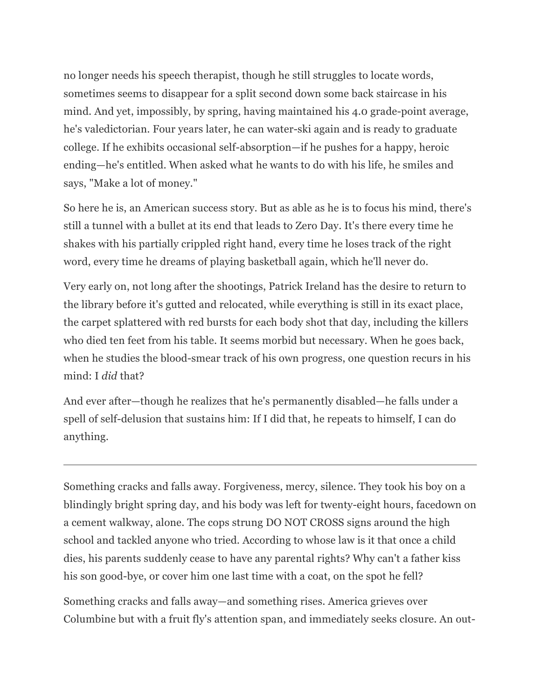no longer needs his speech therapist, though he still struggles to locate words, sometimes seems to disappear for a split second down some back staircase in his mind. And yet, impossibly, by spring, having maintained his 4.0 grade-point average, he's valedictorian. Four years later, he can water-ski again and is ready to graduate college. If he exhibits occasional self-absorption—if he pushes for a happy, heroic ending—he's entitled. When asked what he wants to do with his life, he smiles and says, "Make a lot of money."

So here he is, an American success story. But as able as he is to focus his mind, there's still a tunnel with a bullet at its end that leads to Zero Day. It's there every time he shakes with his partially crippled right hand, every time he loses track of the right word, every time he dreams of playing basketball again, which he'll never do.

Very early on, not long after the shootings, Patrick Ireland has the desire to return to the library before it's gutted and relocated, while everything is still in its exact place, the carpet splattered with red bursts for each body shot that day, including the killers who died ten feet from his table. It seems morbid but necessary. When he goes back, when he studies the blood-smear track of his own progress, one question recurs in his mind: I *did* that?

And ever after—though he realizes that he's permanently disabled—he falls under a spell of self-delusion that sustains him: If I did that, he repeats to himself, I can do anything.

Something cracks and falls away. Forgiveness, mercy, silence. They took his boy on a blindingly bright spring day, and his body was left for twenty-eight hours, facedown on a cement walkway, alone. The cops strung DO NOT CROSS signs around the high school and tackled anyone who tried. According to whose law is it that once a child dies, his parents suddenly cease to have any parental rights? Why can't a father kiss his son good-bye, or cover him one last time with a coat, on the spot he fell?

Something cracks and falls away—and something rises. America grieves over Columbine but with a fruit fly's attention span, and immediately seeks closure. An out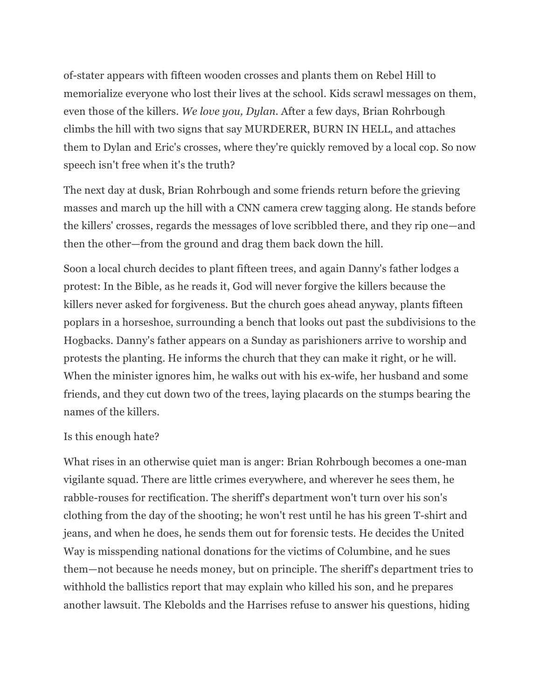of-stater appears with fifteen wooden crosses and plants them on Rebel Hill to memorialize everyone who lost their lives at the school. Kids scrawl messages on them, even those of the killers. *We love you, Dylan.* After a few days, Brian Rohrbough climbs the hill with two signs that say MURDERER, BURN IN HELL, and attaches them to Dylan and Eric's crosses, where they're quickly removed by a local cop. So now speech isn't free when it's the truth?

The next day at dusk, Brian Rohrbough and some friends return before the grieving masses and march up the hill with a CNN camera crew tagging along. He stands before the killers' crosses, regards the messages of love scribbled there, and they rip one—and then the other—from the ground and drag them back down the hill.

Soon a local church decides to plant fifteen trees, and again Danny's father lodges a protest: In the Bible, as he reads it, God will never forgive the killers because the killers never asked for forgiveness. But the church goes ahead anyway, plants fifteen poplars in a horseshoe, surrounding a bench that looks out past the subdivisions to the Hogbacks. Danny's father appears on a Sunday as parishioners arrive to worship and protests the planting. He informs the church that they can make it right, or he will. When the minister ignores him, he walks out with his ex-wife, her husband and some friends, and they cut down two of the trees, laying placards on the stumps bearing the names of the killers.

#### Is this enough hate?

What rises in an otherwise quiet man is anger: Brian Rohrbough becomes a one-man vigilante squad. There are little crimes everywhere, and wherever he sees them, he rabble-rouses for rectification. The sheriff's department won't turn over his son's clothing from the day of the shooting; he won't rest until he has his green T-shirt and jeans, and when he does, he sends them out for forensic tests. He decides the United Way is misspending national donations for the victims of Columbine, and he sues them—not because he needs money, but on principle. The sheriff's department tries to withhold the ballistics report that may explain who killed his son, and he prepares another lawsuit. The Klebolds and the Harrises refuse to answer his questions, hiding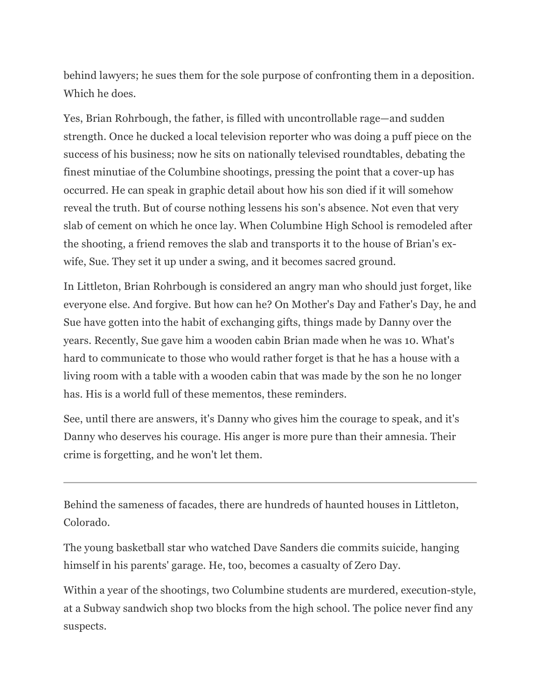behind lawyers; he sues them for the sole purpose of confronting them in a deposition. Which he does.

Yes, Brian Rohrbough, the father, is filled with uncontrollable rage—and sudden strength. Once he ducked a local television reporter who was doing a puff piece on the success of his business; now he sits on nationally televised roundtables, debating the finest minutiae of the Columbine shootings, pressing the point that a cover-up has occurred. He can speak in graphic detail about how his son died if it will somehow reveal the truth. But of course nothing lessens his son's absence. Not even that very slab of cement on which he once lay. When Columbine High School is remodeled after the shooting, a friend removes the slab and transports it to the house of Brian's exwife, Sue. They set it up under a swing, and it becomes sacred ground.

In Littleton, Brian Rohrbough is considered an angry man who should just forget, like everyone else. And forgive. But how can he? On Mother's Day and Father's Day, he and Sue have gotten into the habit of exchanging gifts, things made by Danny over the years. Recently, Sue gave him a wooden cabin Brian made when he was 10. What's hard to communicate to those who would rather forget is that he has a house with a living room with a table with a wooden cabin that was made by the son he no longer has. His is a world full of these mementos, these reminders.

See, until there are answers, it's Danny who gives him the courage to speak, and it's Danny who deserves his courage. His anger is more pure than their amnesia. Their crime is forgetting, and he won't let them.

Behind the sameness of facades, there are hundreds of haunted houses in Littleton, Colorado.

The young basketball star who watched Dave Sanders die commits suicide, hanging himself in his parents' garage. He, too, becomes a casualty of Zero Day.

Within a year of the shootings, two Columbine students are murdered, execution-style, at a Subway sandwich shop two blocks from the high school. The police never find any suspects.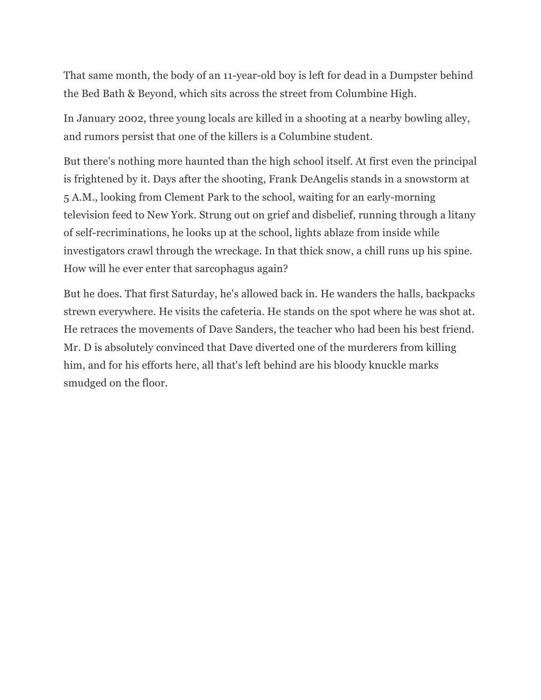That same month, the body of an 11-year-old boy is left for dead in a Dumpster behind the Bed Bath & Beyond, which sits across the street from Columbine High.

In January 2002, three young locals are killed in a shooting at a nearby bowling alley, and rumors persist that one of the killers is a Columbine student.

But there's nothing more haunted than the high school itself. At first even the principal is frightened by it. Days after the shooting, Frank DeAngelis stands in a snowstorm at 5 A.M., looking from Clement Park to the school, waiting for an early-morning television feed to New York. Strung out on grief and disbelief, running through a litany of self-recriminations, he looks up at the school, lights ablaze from inside while investigators crawl through the wreckage. In that thick snow, a chill runs up his spine. How will he ever enter that sarcophagus again?

But he does. That first Saturday, he's allowed back in. He wanders the halls, backpacks strewn everywhere. He visits the cafeteria. He stands on the spot where he was shot at. He retraces the movements of Dave Sanders, the teacher who had been his best friend. Mr. D is absolutely convinced that Dave diverted one of the murderers from killing him, and for his efforts here, all that's left behind are his bloody knuckle marks smudged on the floor.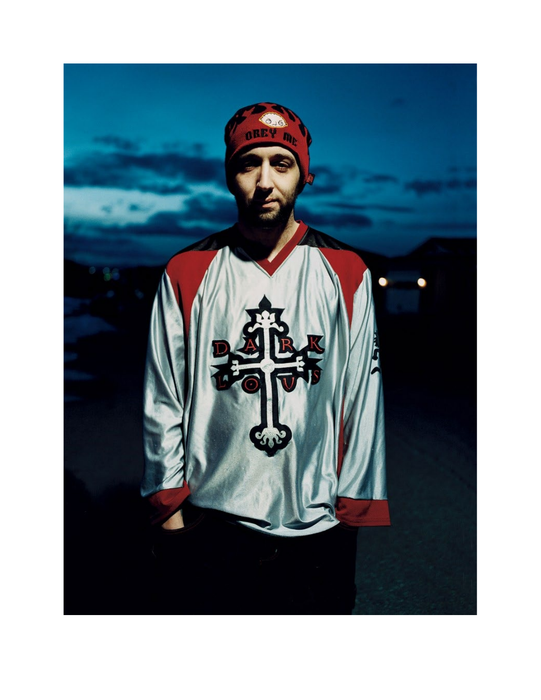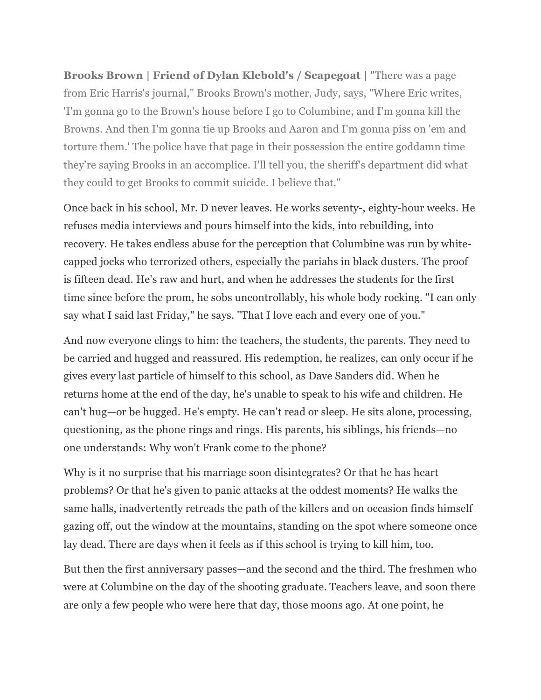**Brooks Brown | Friend of Dylan Klebold's / Scapegoat |** "There was a page from Eric Harris's journal," Brooks Brown's mother, Judy, says, "Where Eric writes, 'I'm gonna go to the Brown's house before I go to Columbine, and I'm gonna kill the Browns. And then I'm gonna tie up Brooks and Aaron and I'm gonna piss on 'em and torture them.' The police have that page in their possession the entire goddamn time they're saying Brooks in an accomplice. I'll tell you, the sheriff's department did what they could to get Brooks to commit suicide. I believe that."

Once back in his school, Mr. D never leaves. He works seventy-, eighty-hour weeks. He refuses media interviews and pours himself into the kids, into rebuilding, into recovery. He takes endless abuse for the perception that Columbine was run by whitecapped jocks who terrorized others, especially the pariahs in black dusters. The proof is fifteen dead. He's raw and hurt, and when he addresses the students for the first time since before the prom, he sobs uncontrollably, his whole body rocking. "I can only say what I said last Friday," he says. "That I love each and every one of you."

And now everyone clings to him: the teachers, the students, the parents. They need to be carried and hugged and reassured. His redemption, he realizes, can only occur if he gives every last particle of himself to this school, as Dave Sanders did. When he returns home at the end of the day, he's unable to speak to his wife and children. He can't hug—or be hugged. He's empty. He can't read or sleep. He sits alone, processing, questioning, as the phone rings and rings. His parents, his siblings, his friends—no one understands: Why won't Frank come to the phone?

Why is it no surprise that his marriage soon disintegrates? Or that he has heart problems? Or that he's given to panic attacks at the oddest moments? He walks the same halls, inadvertently retreads the path of the killers and on occasion finds himself gazing off, out the window at the mountains, standing on the spot where someone once lay dead. There are days when it feels as if this school is trying to kill him, too.

But then the first anniversary passes—and the second and the third. The freshmen who were at Columbine on the day of the shooting graduate. Teachers leave, and soon there are only a few people who were here that day, those moons ago. At one point, he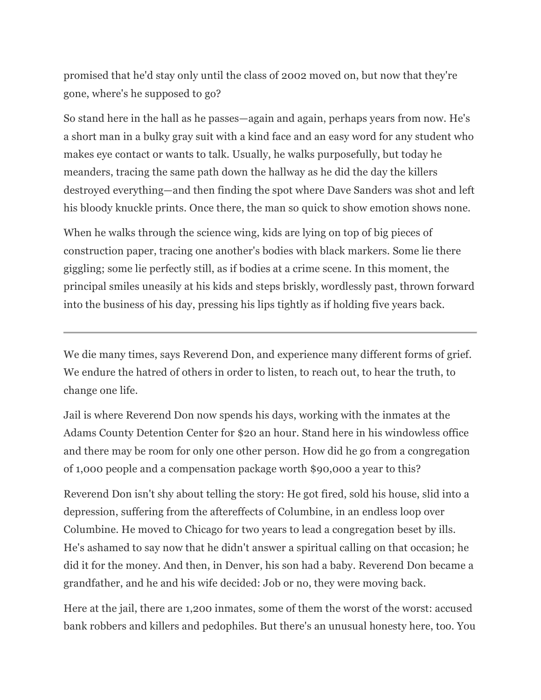promised that he'd stay only until the class of 2002 moved on, but now that they're gone, where's he supposed to go?

So stand here in the hall as he passes—again and again, perhaps years from now. He's a short man in a bulky gray suit with a kind face and an easy word for any student who makes eye contact or wants to talk. Usually, he walks purposefully, but today he meanders, tracing the same path down the hallway as he did the day the killers destroyed everything—and then finding the spot where Dave Sanders was shot and left his bloody knuckle prints. Once there, the man so quick to show emotion shows none.

When he walks through the science wing, kids are lying on top of big pieces of construction paper, tracing one another's bodies with black markers. Some lie there giggling; some lie perfectly still, as if bodies at a crime scene. In this moment, the principal smiles uneasily at his kids and steps briskly, wordlessly past, thrown forward into the business of his day, pressing his lips tightly as if holding five years back.

We die many times, says Reverend Don, and experience many different forms of grief. We endure the hatred of others in order to listen, to reach out, to hear the truth, to change one life.

Jail is where Reverend Don now spends his days, working with the inmates at the Adams County Detention Center for \$20 an hour. Stand here in his windowless office and there may be room for only one other person. How did he go from a congregation of 1,000 people and a compensation package worth \$90,000 a year to this?

Reverend Don isn't shy about telling the story: He got fired, sold his house, slid into a depression, suffering from the aftereffects of Columbine, in an endless loop over Columbine. He moved to Chicago for two years to lead a congregation beset by ills. He's ashamed to say now that he didn't answer a spiritual calling on that occasion; he did it for the money. And then, in Denver, his son had a baby. Reverend Don became a grandfather, and he and his wife decided: Job or no, they were moving back.

Here at the jail, there are 1,200 inmates, some of them the worst of the worst: accused bank robbers and killers and pedophiles. But there's an unusual honesty here, too. You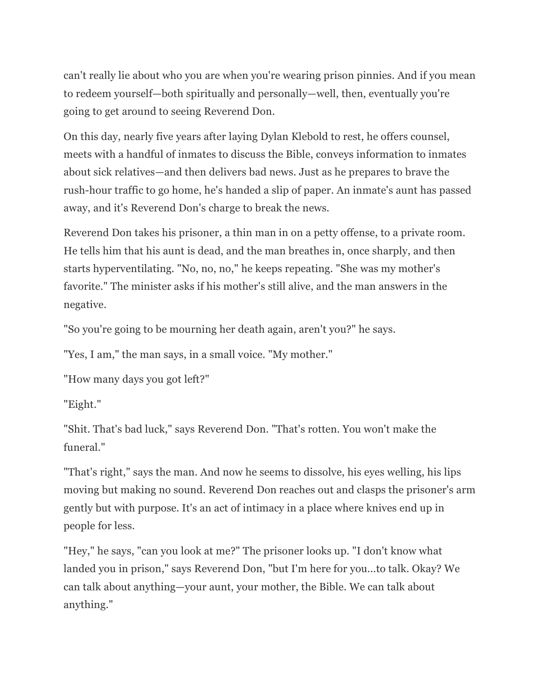can't really lie about who you are when you're wearing prison pinnies. And if you mean to redeem yourself—both spiritually and personally—well, then, eventually you're going to get around to seeing Reverend Don.

On this day, nearly five years after laying Dylan Klebold to rest, he offers counsel, meets with a handful of inmates to discuss the Bible, conveys information to inmates about sick relatives—and then delivers bad news. Just as he prepares to brave the rush-hour traffic to go home, he's handed a slip of paper. An inmate's aunt has passed away, and it's Reverend Don's charge to break the news.

Reverend Don takes his prisoner, a thin man in on a petty offense, to a private room. He tells him that his aunt is dead, and the man breathes in, once sharply, and then starts hyperventilating. "No, no, no," he keeps repeating. "She was my mother's favorite." The minister asks if his mother's still alive, and the man answers in the negative.

"So you're going to be mourning her death again, aren't you?" he says.

"Yes, I am," the man says, in a small voice. "My mother."

```
"How many days you got left?"
```
"Eight."

"Shit. That's bad luck," says Reverend Don. "That's rotten. You won't make the funeral."

"That's right," says the man. And now he seems to dissolve, his eyes welling, his lips moving but making no sound. Reverend Don reaches out and clasps the prisoner's arm gently but with purpose. It's an act of intimacy in a place where knives end up in people for less.

"Hey," he says, "can you look at me?" The prisoner looks up. "I don't know what landed you in prison," says Reverend Don, "but I'm here for you...to talk. Okay? We can talk about anything—your aunt, your mother, the Bible. We can talk about anything."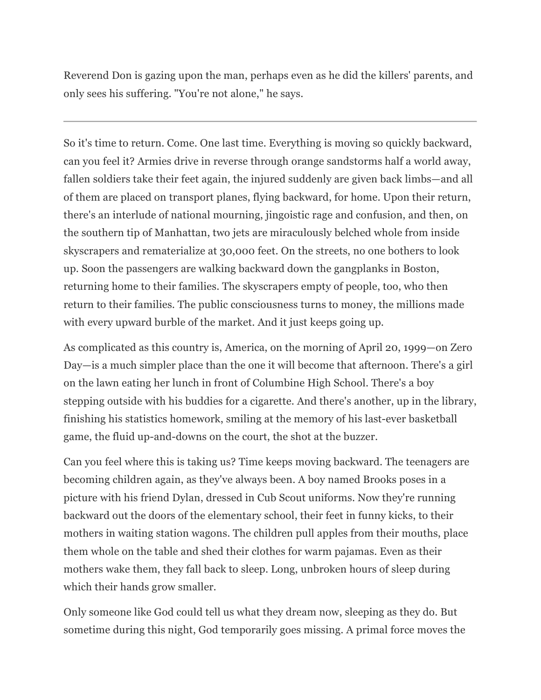Reverend Don is gazing upon the man, perhaps even as he did the killers' parents, and only sees his suffering. "You're not alone," he says.

So it's time to return. Come. One last time. Everything is moving so quickly backward, can you feel it? Armies drive in reverse through orange sandstorms half a world away, fallen soldiers take their feet again, the injured suddenly are given back limbs—and all of them are placed on transport planes, flying backward, for home. Upon their return, there's an interlude of national mourning, jingoistic rage and confusion, and then, on the southern tip of Manhattan, two jets are miraculously belched whole from inside skyscrapers and rematerialize at 30,000 feet. On the streets, no one bothers to look up. Soon the passengers are walking backward down the gangplanks in Boston, returning home to their families. The skyscrapers empty of people, too, who then return to their families. The public consciousness turns to money, the millions made with every upward burble of the market. And it just keeps going up.

As complicated as this country is, America, on the morning of April 20, 1999—on Zero Day—is a much simpler place than the one it will become that afternoon. There's a girl on the lawn eating her lunch in front of Columbine High School. There's a boy stepping outside with his buddies for a cigarette. And there's another, up in the library, finishing his statistics homework, smiling at the memory of his last-ever basketball game, the fluid up-and-downs on the court, the shot at the buzzer.

Can you feel where this is taking us? Time keeps moving backward. The teenagers are becoming children again, as they've always been. A boy named Brooks poses in a picture with his friend Dylan, dressed in Cub Scout uniforms. Now they're running backward out the doors of the elementary school, their feet in funny kicks, to their mothers in waiting station wagons. The children pull apples from their mouths, place them whole on the table and shed their clothes for warm pajamas. Even as their mothers wake them, they fall back to sleep. Long, unbroken hours of sleep during which their hands grow smaller.

Only someone like God could tell us what they dream now, sleeping as they do. But sometime during this night, God temporarily goes missing. A primal force moves the